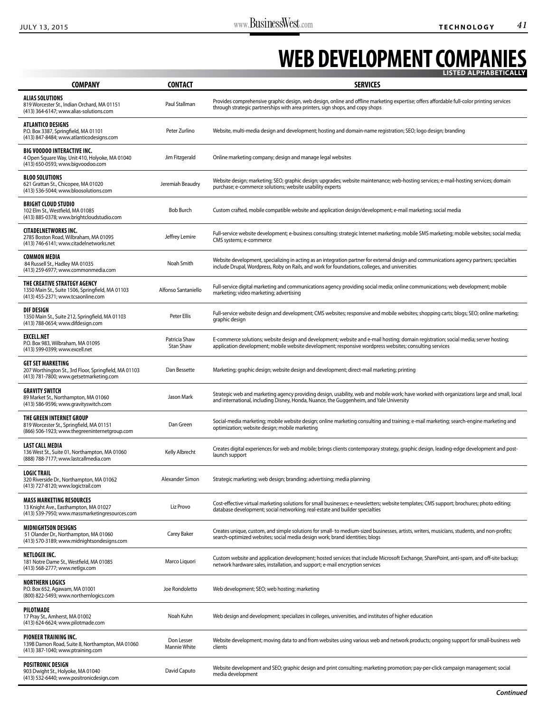## **WEB DEVELOPMENT COMPANIES**

|                                                                                                                              |                                   | LIS I ED ALPHABE I ICALLY                                                                                                                                                                                                                       |
|------------------------------------------------------------------------------------------------------------------------------|-----------------------------------|-------------------------------------------------------------------------------------------------------------------------------------------------------------------------------------------------------------------------------------------------|
| <b>COMPANY</b>                                                                                                               | <b>CONTACT</b>                    | <b>SERVICES</b>                                                                                                                                                                                                                                 |
| <b>ALIAS SOLUTIONS</b><br>819 Worcester St., Indian Orchard, MA 01151<br>(413) 364-6147; www.alias-solutions.com             | Paul Stallman                     | Provides comprehensive graphic design, web design, online and offline marketing expertise; offers affordable full-color printing services<br>through strategic partnerships with area printers, sign shops, and copy shops                      |
| <b>ATLANTICO DESIGNS</b><br>P.O. Box 3387, Springfield, MA 01101<br>(413) 847-8484; www.atlanticodesigns.com                 | Peter Zurlino                     | Website, multi-media design and development; hosting and domain-name registration; SEO; logo design; branding                                                                                                                                   |
| <b>BIG VOODOO INTERACTIVE INC.</b><br>4 Open Square Way, Unit 410, Holyoke, MA 01040<br>(413) 650-0593; www.bigvoodoo.com    | Jim Fitzgerald                    | Online marketing company; design and manage legal websites                                                                                                                                                                                      |
| <b>BLOO SOLUTIONS</b><br>621 Grattan St., Chicopee, MA 01020<br>(413) 536-5044; www.bloosolutions.com                        | Jeremiah Beaudry                  | Website design; marketing; SEO; graphic design; upgrades; website maintenance; web-hosting services; e-mail-hosting services; domain<br>purchase; e-commerce solutions; website usability experts                                               |
| <b>BRIGHT CLOUD STUDIO</b><br>102 Elm St., Westfield, MA 01085<br>(413) 885-0378; www.brightcloudstudio.com                  | <b>Bob Burch</b>                  | Custom crafted, mobile compatible website and application design/development; e-mail marketing; social media                                                                                                                                    |
| <b>CITADELNETWORKS INC.</b><br>2785 Boston Road, Wilbraham, MA 01095<br>(413) 746-6141; www.citadelnetworks.net              | Jeffrey Lemire                    | Full-service website development; e-business consulting; strategic Internet marketing; mobile SMS marketing; mobile websites; social media;<br>CMS systems; e-commerce                                                                          |
| <b>COMMON MEDIA</b><br>84 Russell St., Hadley MA 01035<br>(413) 259-6977: www.commonmedia.com                                | Noah Smith                        | Website development, specializing in acting as an integration partner for external design and communications agency partners; specialties<br>include Drupal, Wordpress, Roby on Rails, and work for foundations, colleges, and universities     |
| THE CREATIVE STRATEGY AGENCY<br>1350 Main St., Suite 1506, Springfield, MA 01103<br>(413) 455-2371; www.tcsaonline.com       | Alfonso Santaniello               | Full-service digital marketing and communications agency providing social media; online communications; web development; mobile<br>marketing; video marketing; advertising                                                                      |
| <b>DIF DESIGN</b><br>1350 Main St., Suite 212, Springfield, MA 01103<br>(413) 788-0654; www.difdesign.com                    | Peter Ellis                       | Full-service website design and development; CMS websites; responsive and mobile websites; shopping carts; blogs; SEO; online marketing;<br>graphic design                                                                                      |
| <b>EXCELL.NET</b><br>P.O. Box 983, Wilbraham, MA 01095<br>(413) 599-0399; www.excell.net                                     | Patricia Shaw<br><b>Stan Shaw</b> | E-commerce solutions; website design and development; website and e-mail hosting; domain registration; social media; server hosting;<br>application development; mobile website development; responsive wordpress websites; consulting services |
| <b>GET SET MARKETING</b><br>207 Worthington St., 3rd Floor, Springfield, MA 01103<br>(413) 781-7800; www.getsetmarketing.com | Dan Bessette                      | Marketing; graphic design; website design and development; direct-mail marketing; printing                                                                                                                                                      |
| <b>GRAVITY SWITCH</b><br>89 Market St., Northampton, MA 01060<br>(413) 586-9596; www.gravityswitch.com                       | Jason Mark                        | Strategic web and marketing agency providing design, usability, web and mobile work; have worked with organizations large and small, local<br>and international, including Disney, Honda, Nuance, the Guggenheim, and Yale University           |
| THE GREEN INTERNET GROUP<br>819 Worcester St., Springfield, MA 01151<br>(866) 506-1923; www.thegreeninternetgroup.com        | Dan Green                         | Social-media marketing; mobile website design; online marketing consulting and training; e-mail marketing; search-engine marketing and<br>optimization; website design; mobile marketing                                                        |
| <b>LAST CALL MEDIA</b><br>136 West St., Suite 01, Northampton, MA 01060<br>(888) 788-7177; www.lastcallmedia.com             | Kelly Albrecht                    | Creates digital experiences for web and mobile; brings clients contemporary strategy, graphic design, leading-edge development and post-<br>launch support                                                                                      |
| <b>LOGIC TRAIL</b><br>320 Riverside Dr., Northampton, MA 01062<br>(413) 727-8120; www.logictrail.com                         | Alexander Simon                   | Strategic marketing; web design; branding; advertising; media planning                                                                                                                                                                          |
| <b>MASS MARKETING RESOURCES</b><br>13 Knight Ave., Easthampton, MA 01027<br>(413) 539-7950; www.massmarketingresources.com   | Liz Provo                         | Cost-effective virtual marketing solutions for small businesses; e-newsletters; website templates; CMS support; brochures; photo editing;<br>database development; social networking; real-estate and builder specialties                       |
| <b>MIDNIGHTSON DESIGNS</b><br>51 Olander Dr., Northampton, MA 01060<br>(413) 570-3189; www.midnightsondesigns.com            | Carey Baker                       | Creates unique, custom, and simple solutions for small- to medium-sized businesses, artists, writers, musicians, students, and non-profits;<br>search-optimized websites; social media design work; brand identities; blogs                     |
| <b>NETLOGIX INC.</b><br>181 Notre Dame St., Westfield, MA 01085<br>(413) 568-2777; www.netlgx.com                            | Marco Liquori                     | Custom website and application development; hosted services that include Microsoft Exchange, SharePoint, anti-spam, and off-site backup;<br>network hardware sales, installation, and support; e-mail encryption services                       |
| <b>NORTHERN LOGICS</b><br>P.O. Box 652, Agawam, MA 01001<br>(800) 822-5493; www.northernlogics.com                           | Joe Rondoletto                    | Web development; SEO; web hosting; marketing                                                                                                                                                                                                    |
| <b>PILOTMADE</b><br>17 Pray St., Amherst, MA 01002<br>(413) 624-6624; www.pilotmade.com                                      | Noah Kuhn                         | Web design and development; specializes in colleges, universities, and institutes of higher education                                                                                                                                           |
| <b>PIONEER TRAINING INC.</b><br>139B Damon Road, Suite 8, Northampton, MA 01060<br>(413) 387-1040; www.ptraining.com         | Don Lesser<br>Mannie White        | Website development; moving data to and from websites using various web and network products; ongoing support for small-business web<br>clients                                                                                                 |
| <b>POSITRONIC DESIGN</b><br>903 Dwight St., Holyoke, MA 01040<br>(413) 532-6440; www.positronicdesign.com                    | David Caputo                      | Website development and SEO; graphic design and print consulting; marketing promotion; pay-per-click campaign management; social<br>media development                                                                                           |